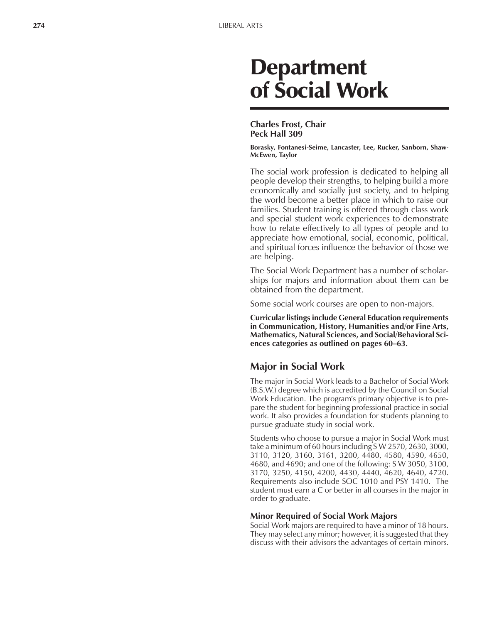# **Department** of Social Work

#### **Charles Frost, Chair Peck Hall 309**

**Borasky, Fontanesi-Seime, Lancaster, Lee, Rucker, Sanborn, Shaw-McEwen, Taylor**

The social work profession is dedicated to helping all people develop their strengths, to helping build a more economically and socially just society, and to helping the world become a better place in which to raise our families. Student training is offered through class work and special student work experiences to demonstrate how to relate effectively to all types of people and to appreciate how emotional, social, economic, political, and spiritual forces influence the behavior of those we are helping.

The Social Work Department has a number of scholarships for majors and information about them can be obtained from the department.

Some social work courses are open to non-majors.

**Curricular listings include General Education requirements in Communication, History, Humanities and/or Fine Arts, Mathematics, Natural Sciences, and Social/Behavioral Sci**ences categories as outlined on pages 60–63.

### **Major in Social Work**

The major in Social Work leads to a Bachelor of Social Work (B.S.W.) degree which is accredited by the Council on Social Work Education. The program's primary objective is to prepare the student for beginning professional practice in social work. It also provides a foundation for students planning to pursue graduate study in social work.

Students who choose to pursue a major in Social Work must take a minimum of 60 hours including S W 2570, 2630, 3000, 3110, 3120, 3160, 3161, 3200, 4480, 4580, 4590, 4650, 4680, and 4690; and one of the following: S W 3050, 3100, 3170, 3250, 4150, 4200, 4430, 4440, 4620, 4640, 4720. Requirements also include SOC 1010 and PSY 1410. The student must earn a C or better in all courses in the major in order to graduate.

#### **Minor Required of Social Work Majors**

Social Work majors are required to have a minor of 18 hours. They may select any minor; however, it is suggested that they discuss with their advisors the advantages of certain minors.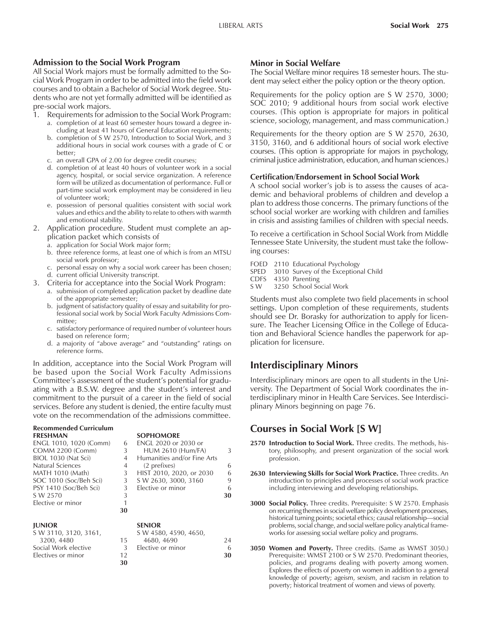#### **Admission to the Social Work Program**

All Social Work majors must be formally admitted to the Social Work Program in order to be admitted into the field work courses and to obtain a Bachelor of Social Work degree. Students who are not yet formally admitted will be identified as pre-social work majors.

1. Requirements for admission to the Social Work Program:

- a. completion of at least 60 semester hours toward a degree including at least 41 hours of General Education requirements;
- b. completion of S W 2570, Introduction to Social Work, and 3 additional hours in social work courses with a grade of C or better;
- c. an overall GPA of 2.00 for degree credit courses;
- d. completion of at least 40 hours of volunteer work in a social agency, hospital, or social service organization. A reference form will be utilized as documentation of performance. Full or part-time social work employment may be considered in lieu of volunteer work;
- e. possession of personal qualities consistent with social work values and ethics and the ability to relate to others with warmth and emotional stability.
- 2. Application procedure. Student must complete an application packet which consists of
	- a. application for Social Work major form;
	- b. three reference forms, at least one of which is from an MTSU social work professor;
	- c. personal essay on why a social work career has been chosen; d. current official University transcript.
- 3. Criteria for acceptance into the Social Work Program:
	- a. submission of completed application packet by deadline date of the appropriate semester;
	- b. judgment of satisfactory quality of essay and suitability for professional social work by Social Work Faculty Admissions Committee;
	- c. satisfactory performance of required number of volunteer hours based on reference form;
	- d. a majority of "above average" and "outstanding" ratings on reference forms.

In addition, acceptance into the Social Work Program will be based upon the Social Work Faculty Admissions Committee's assessment of the student's potential for graduating with a B.S.W. degree and the student's interest and commitment to the pursuit of a career in the field of social services. Before any student is denied, the entire faculty must vote on the recommendation of the admissions committee.

| <b>Recommended Curriculum</b> |    |                             |    |
|-------------------------------|----|-----------------------------|----|
| <b>FRESHMAN</b>               |    | <b>SOPHOMORE</b>            |    |
| ENGL 1010, 1020 (Comm)        | 6  | <b>ENGL 2020 or 2030 or</b> |    |
| <b>COMM 2200 (Comm)</b>       | 3  | <b>HUM 2610 (Hum/FA)</b>    | 3  |
| BIOL 1030 (Nat Sci)           | 4  | Humanities and/or Fine Arts |    |
| Natural Sciences              | 4  | (2 prefixes)                | 6  |
| <b>MATH 1010 (Math)</b>       | 3  | HIST 2010, 2020, or 2030    | 6  |
| SOC 1010 (Soc/Beh Sci)        | 3  | S W 2630, 3000, 3160        | 9  |
| PSY 1410 (Soc/Beh Sci)        | 3  | Elective or minor           | 6  |
| S W 2570                      | 3  |                             | 30 |
| Elective or minor             | 1  |                             |    |
|                               | 30 |                             |    |
| <b>JUNIOR</b>                 |    | <b>SENIOR</b>               |    |
| S W 3110, 3120, 3161,         |    | S W 4580, 4590, 4650,       |    |
| 3200, 4480                    | 15 | 4680, 4690                  | 24 |
| Social Work elective          | 3  | Elective or minor           | 6  |
| Electives or minor            | 12 |                             | 30 |

**30**

#### **Minor in Social Welfare**

The Social Welfare minor requires 18 semester hours. The student may select either the policy option or the theory option.

Requirements for the policy option are S W 2570, 3000; SOC 2010; 9 additional hours from social work elective courses. (This option is appropriate for majors in political science, sociology, management, and mass communication.)

Requirements for the theory option are S W 2570, 2630, 3150, 3160, and 6 additional hours of social work elective courses. (This option is appropriate for majors in psychology, criminal justice administration, education, and human sciences.)

#### **Certification/Endorsement in School Social Work**

A school social worker's job is to assess the causes of academic and behavioral problems of children and develop a plan to address those concerns. The primary functions of the school social worker are working with children and families in crisis and assisting families of children with special needs.

To receive a certification in School Social Work from Middle Tennessee State University, the student must take the following courses:

- FOED 2110 Educational Psychology
- SPED 3010 Survey of the Exceptional Child
- CDFS 4350 Parenting
- S W 3250 School Social Work

Students must also complete two field placements in school settings. Upon completion of these requirements, students should see Dr. Borasky for authorization to apply for licensure. The Teacher Licensing Office in the College of Education and Behavioral Science handles the paperwork for application for licensure.

## **Interdisciplinary Minors**

Interdisciplinary minors are open to all students in the University. The Department of Social Work coordinates the interdisciplinary minor in Health Care Services. See Interdisciplinary Minors beginning on page 76.

## **Courses in Social Work [S W]**

- **2570 Introduction to Social Work.** Three credits. The methods, history, philosophy, and present organization of the social work profession.
- **2630 Interviewing Skills for Social Work Practice.** Three credits. An introduction to principles and processes of social work practice including interviewing and developing relationships.
- **3000 Social Policy.** Three credits. Prerequisite: S W 2570. Emphasis on recurring themes in social welfare policy development processes, historical turning points; societal ethics; causal relationship—social problems, social change, and social welfare policy analytical frameworks for assessing social welfare policy and programs.
- **3050 Women and Poverty.** Three credits. (Same as WMST 3050.) Prerequisite: WMST 2100 or S W 2570. Predominant theories, policies, and programs dealing with poverty among women. Explores the effects of poverty on women in addition to a general knowledge of poverty; ageism, sexism, and racism in relation to poverty; historical treatment of women and views of poverty.